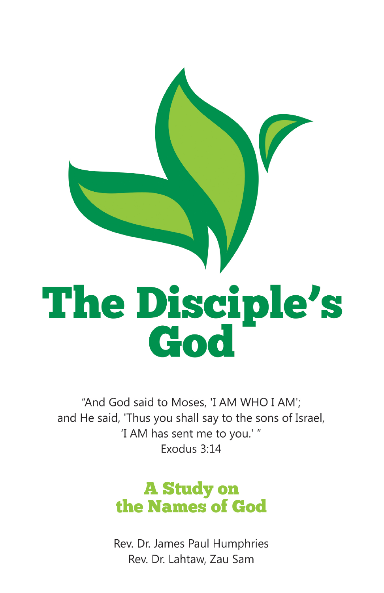

"And God said to Moses, 'I AM WHO I AM'; and He said, 'Thus you shall say to the sons of Israel, 'I AM has sent me to you.'" Exodus 3:14

# **A Study on** the Names of God

Rev. Dr. James Paul Humphries Rev. Dr. Lahtaw, Zau Sam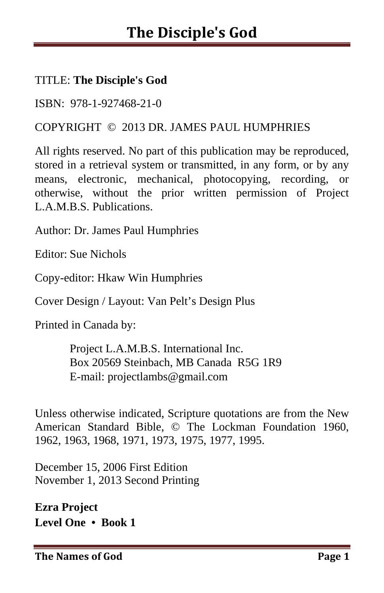#### TITLE: **The Disciple's God**

ISBN: 978-1-927468-21-0

#### COPYRIGHT © 2013 DR. JAMES PAUL HUMPHRIES

All rights reserved. No part of this publication may be reproduced, stored in a retrieval system or transmitted, in any form, or by any means, electronic, mechanical, photocopying, recording, or otherwise, without the prior written permission of Project L.A.M.B.S. Publications.

Author: Dr. James Paul Humphries

Editor: Sue Nichols

Copy-editor: Hkaw Win Humphries

Cover Design / Layout: Van Pelt's Design Plus

Printed in Canada by:

 Project L.A.M.B.S. International Inc. Box 20569 Steinbach, MB Canada R5G 1R9 E-mail: projectlambs@gmail.com

Unless otherwise indicated, Scripture quotations are from the New American Standard Bible, © The Lockman Foundation 1960, 1962, 1963, 1968, 1971, 1973, 1975, 1977, 1995.

December 15, 2006 First Edition November 1, 2013 Second Printing

**Ezra Project Level One • Book 1** 

**The Names of God Page 1**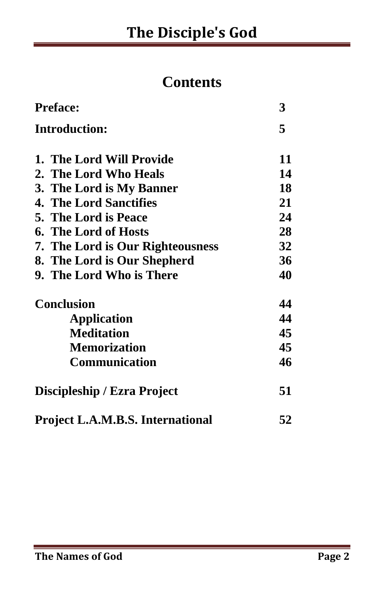## **Contents**

| <b>Preface:</b>                         | 3  |
|-----------------------------------------|----|
| <b>Introduction:</b>                    | 5  |
| 1. The Lord Will Provide                | 11 |
| 2. The Lord Who Heals                   | 14 |
| 3. The Lord is My Banner                | 18 |
| <b>4. The Lord Sanctifies</b>           | 21 |
| <b>5. The Lord is Peace</b>             | 24 |
| <b>6. The Lord of Hosts</b>             | 28 |
| 7. The Lord is Our Righteousness        | 32 |
| 8. The Lord is Our Shepherd             | 36 |
| 9. The Lord Who is There                | 40 |
| <b>Conclusion</b>                       | 44 |
| Application                             | 44 |
| <b>Meditation</b>                       | 45 |
| <b>Memorization</b>                     | 45 |
| <b>Communication</b>                    | 46 |
| Discipleship / Ezra Project             | 51 |
| <b>Project L.A.M.B.S. International</b> | 52 |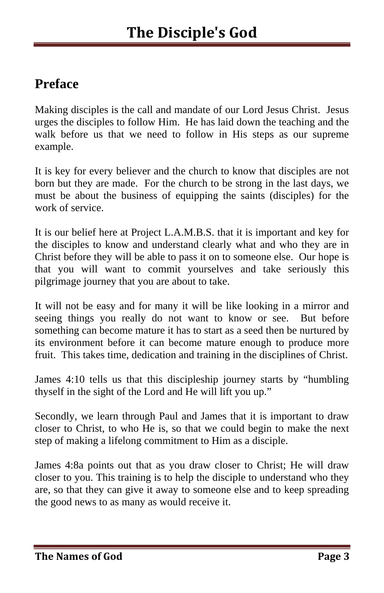## **Preface**

Making disciples is the call and mandate of our Lord Jesus Christ. Jesus urges the disciples to follow Him. He has laid down the teaching and the walk before us that we need to follow in His steps as our supreme example.

It is key for every believer and the church to know that disciples are not born but they are made. For the church to be strong in the last days, we must be about the business of equipping the saints (disciples) for the work of service.

It is our belief here at Project L.A.M.B.S. that it is important and key for the disciples to know and understand clearly what and who they are in Christ before they will be able to pass it on to someone else. Our hope is that you will want to commit yourselves and take seriously this pilgrimage journey that you are about to take.

It will not be easy and for many it will be like looking in a mirror and seeing things you really do not want to know or see. But before something can become mature it has to start as a seed then be nurtured by its environment before it can become mature enough to produce more fruit. This takes time, dedication and training in the disciplines of Christ.

James 4:10 tells us that this discipleship journey starts by "humbling thyself in the sight of the Lord and He will lift you up."

Secondly, we learn through Paul and James that it is important to draw closer to Christ, to who He is, so that we could begin to make the next step of making a lifelong commitment to Him as a disciple.

James 4:8a points out that as you draw closer to Christ; He will draw closer to you. This training is to help the disciple to understand who they are, so that they can give it away to someone else and to keep spreading the good news to as many as would receive it.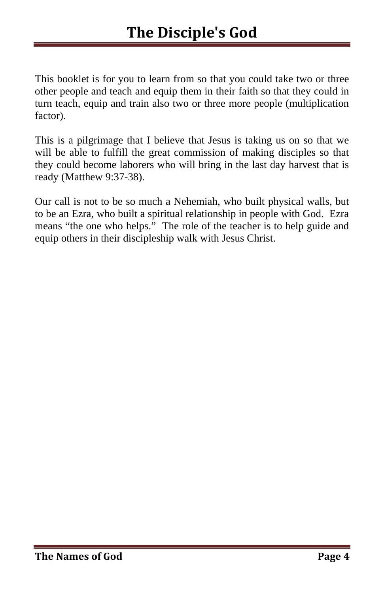This booklet is for you to learn from so that you could take two or three other people and teach and equip them in their faith so that they could in turn teach, equip and train also two or three more people (multiplication factor).

This is a pilgrimage that I believe that Jesus is taking us on so that we will be able to fulfill the great commission of making disciples so that they could become laborers who will bring in the last day harvest that is ready (Matthew 9:37-38).

Our call is not to be so much a Nehemiah, who built physical walls, but to be an Ezra, who built a spiritual relationship in people with God. Ezra means "the one who helps." The role of the teacher is to help guide and equip others in their discipleship walk with Jesus Christ.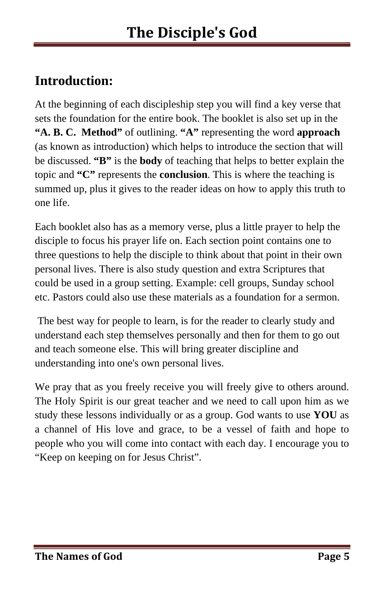## **Introduction:**

At the beginning of each discipleship step you will find a key verse that sets the foundation for the entire book. The booklet is also set up in the **"A. B. C. Method"** of outlining. **"A"** representing the word **approach** (as known as introduction) which helps to introduce the section that will be discussed. **"B"** is the **body** of teaching that helps to better explain the topic and **"C"** represents the **conclusion**. This is where the teaching is summed up, plus it gives to the reader ideas on how to apply this truth to one life.

Each booklet also has as a memory verse, plus a little prayer to help the disciple to focus his prayer life on. Each section point contains one to three questions to help the disciple to think about that point in their own personal lives. There is also study question and extra Scriptures that could be used in a group setting. Example: cell groups, Sunday school etc. Pastors could also use these materials as a foundation for a sermon.

 The best way for people to learn, is for the reader to clearly study and understand each step themselves personally and then for them to go out and teach someone else. This will bring greater discipline and understanding into one's own personal lives.

We pray that as you freely receive you will freely give to others around. The Holy Spirit is our great teacher and we need to call upon him as we study these lessons individually or as a group. God wants to use **YOU** as a channel of His love and grace, to be a vessel of faith and hope to people who you will come into contact with each day. I encourage you to "Keep on keeping on for Jesus Christ".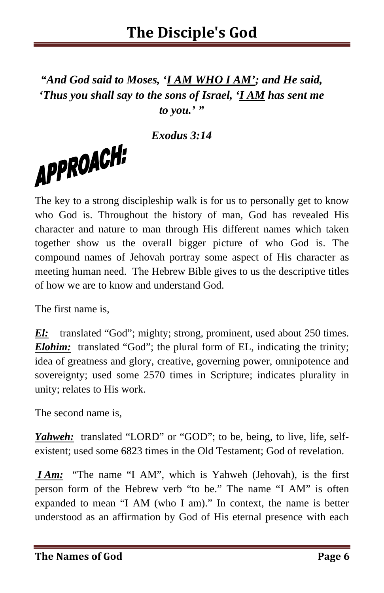*"And God said to Moses, 'I AM WHO I AM'; and He said, 'Thus you shall say to the sons of Israel, 'I AM has sent me to you.' "* 

*Exodus 3:14* 

The key to a strong discipleship walk is for us to personally get to know who God is. Throughout the history of man, God has revealed His character and nature to man through His different names which taken together show us the overall bigger picture of who God is. The compound names of Jehovah portray some aspect of His character as meeting human need. The Hebrew Bible gives to us the descriptive titles of how we are to know and understand God.

The first name is,

APPROACH:

*El:* translated "God"; mighty; strong, prominent, used about 250 times. *Elohim:* translated "God"; the plural form of EL, indicating the trinity; idea of greatness and glory, creative, governing power, omnipotence and sovereignty; used some 2570 times in Scripture; indicates plurality in unity; relates to His work.

The second name is,

*Yahweh:* translated "LORD" or "GOD"; to be, being, to live, life, selfexistent; used some 6823 times in the Old Testament; God of revelation.

*I Am:* "The name "I AM", which is Yahweh (Jehovah), is the first person form of the Hebrew verb "to be." The name "I AM" is often expanded to mean "I AM (who I am)." In context, the name is better understood as an affirmation by God of His eternal presence with each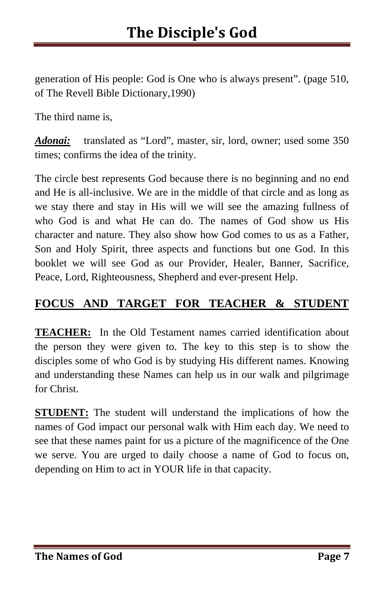generation of His people: God is One who is always present". (page 510, of The Revell Bible Dictionary,1990)

The third name is,

*Adonai:* translated as "Lord", master, sir, lord, owner; used some 350 times; confirms the idea of the trinity.

The circle best represents God because there is no beginning and no end and He is all-inclusive. We are in the middle of that circle and as long as we stay there and stay in His will we will see the amazing fullness of who God is and what He can do. The names of God show us His character and nature. They also show how God comes to us as a Father, Son and Holy Spirit, three aspects and functions but one God. In this booklet we will see God as our Provider, Healer, Banner, Sacrifice, Peace, Lord, Righteousness, Shepherd and ever-present Help.

#### **FOCUS AND TARGET FOR TEACHER & STUDENT**

**TEACHER:** In the Old Testament names carried identification about the person they were given to. The key to this step is to show the disciples some of who God is by studying His different names. Knowing and understanding these Names can help us in our walk and pilgrimage for Christ.

**STUDENT:** The student will understand the implications of how the names of God impact our personal walk with Him each day. We need to see that these names paint for us a picture of the magnificence of the One we serve. You are urged to daily choose a name of God to focus on, depending on Him to act in YOUR life in that capacity.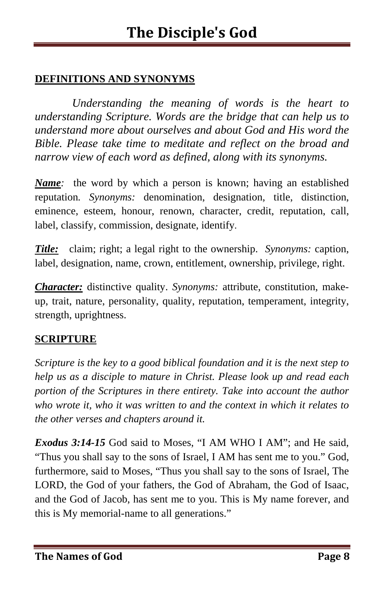#### **DEFINITIONS AND SYNONYMS**

*Understanding the meaning of words is the heart to understanding Scripture. Words are the bridge that can help us to understand more about ourselves and about God and His word the Bible. Please take time to meditate and reflect on the broad and narrow view of each word as defined, along with its synonyms.* 

*Name*: the word by which a person is known; having an established reputation*. Synonyms:* denomination, designation, title, distinction, eminence, esteem, honour, renown, character, credit, reputation, call, label, classify, commission, designate, identify.

*Title:* claim; right; a legal right to the ownership. *Synonyms:* caption, label, designation, name, crown, entitlement, ownership, privilege, right.

*Character:* distinctive quality. *Synonyms:* attribute, constitution, makeup, trait, nature, personality, quality, reputation, temperament, integrity, strength, uprightness.

#### **SCRIPTURE**

*Scripture is the key to a good biblical foundation and it is the next step to help us as a disciple to mature in Christ. Please look up and read each portion of the Scriptures in there entirety. Take into account the author who wrote it, who it was written to and the context in which it relates to the other verses and chapters around it.* 

*Exodus 3:14-15* God said to Moses, "I AM WHO I AM"; and He said, "Thus you shall say to the sons of Israel, I AM has sent me to you." God, furthermore, said to Moses, "Thus you shall say to the sons of Israel, The LORD, the God of your fathers, the God of Abraham, the God of Isaac, and the God of Jacob, has sent me to you. This is My name forever, and this is My memorial-name to all generations."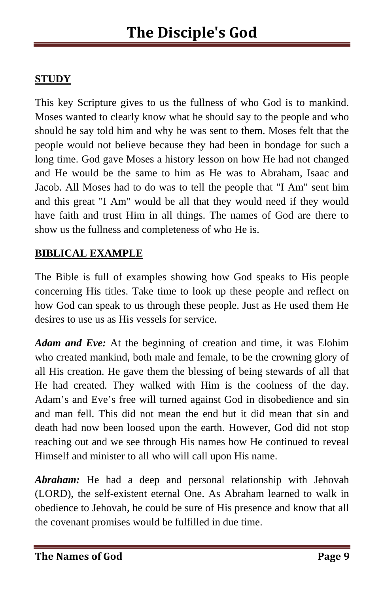#### **STUDY**

This key Scripture gives to us the fullness of who God is to mankind. Moses wanted to clearly know what he should say to the people and who should he say told him and why he was sent to them. Moses felt that the people would not believe because they had been in bondage for such a long time. God gave Moses a history lesson on how He had not changed and He would be the same to him as He was to Abraham, Isaac and Jacob. All Moses had to do was to tell the people that "I Am" sent him and this great "I Am" would be all that they would need if they would have faith and trust Him in all things. The names of God are there to show us the fullness and completeness of who He is.

#### **BIBLICAL EXAMPLE**

The Bible is full of examples showing how God speaks to His people concerning His titles. Take time to look up these people and reflect on how God can speak to us through these people. Just as He used them He desires to use us as His vessels for service.

*Adam and Eve:* At the beginning of creation and time, it was Elohim who created mankind, both male and female, to be the crowning glory of all His creation. He gave them the blessing of being stewards of all that He had created. They walked with Him is the coolness of the day. Adam's and Eve's free will turned against God in disobedience and sin and man fell. This did not mean the end but it did mean that sin and death had now been loosed upon the earth. However, God did not stop reaching out and we see through His names how He continued to reveal Himself and minister to all who will call upon His name.

*Abraham:* He had a deep and personal relationship with Jehovah (LORD), the self-existent eternal One. As Abraham learned to walk in obedience to Jehovah, he could be sure of His presence and know that all the covenant promises would be fulfilled in due time.